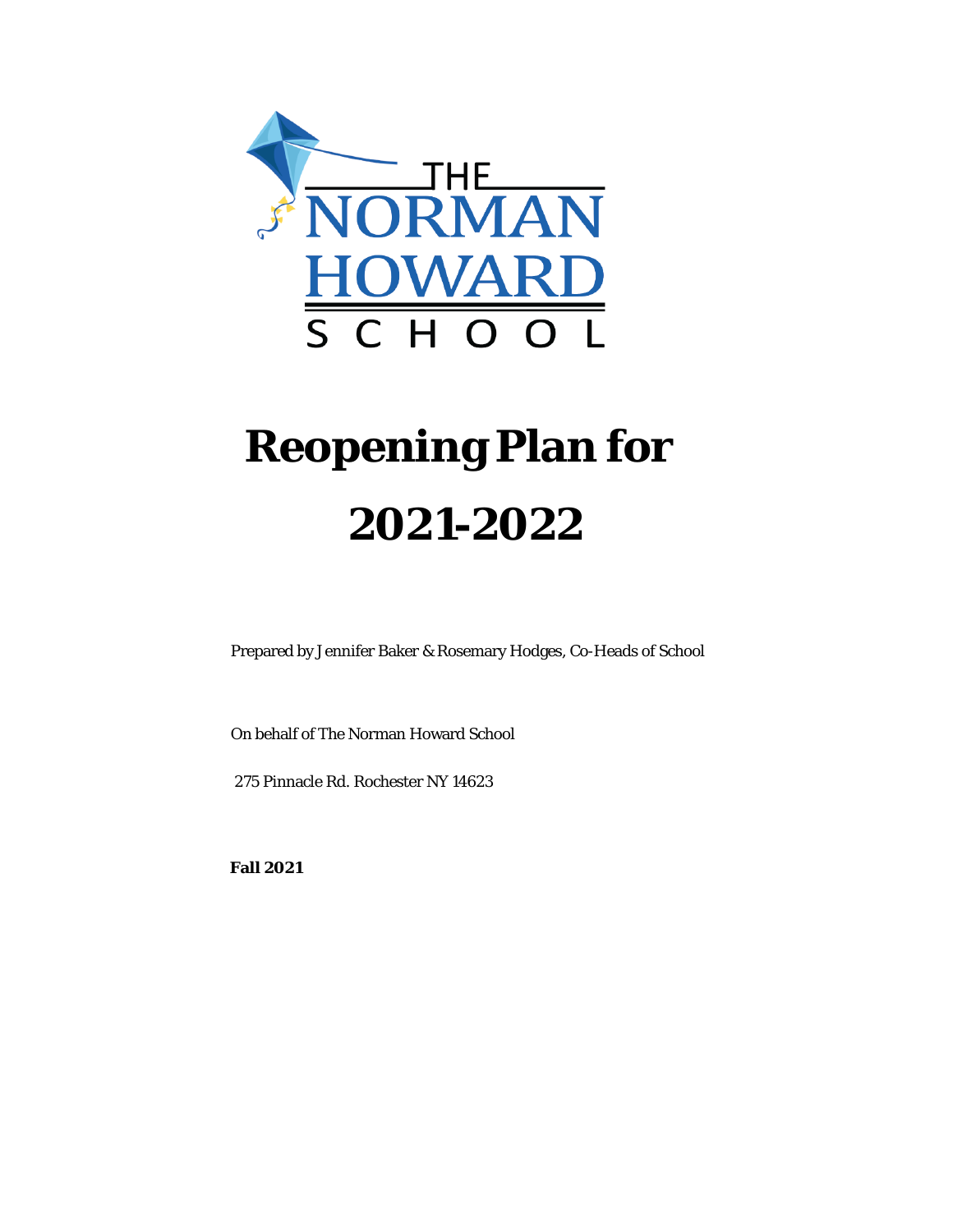

# **Reopening Plan for 2021-2022**

Prepared by Jennifer Baker & Rosemary Hodges, Co-Heads of School

On behalf of The Norman Howard School

275 Pinnacle Rd. Rochester NY 14623

**Fall 2021**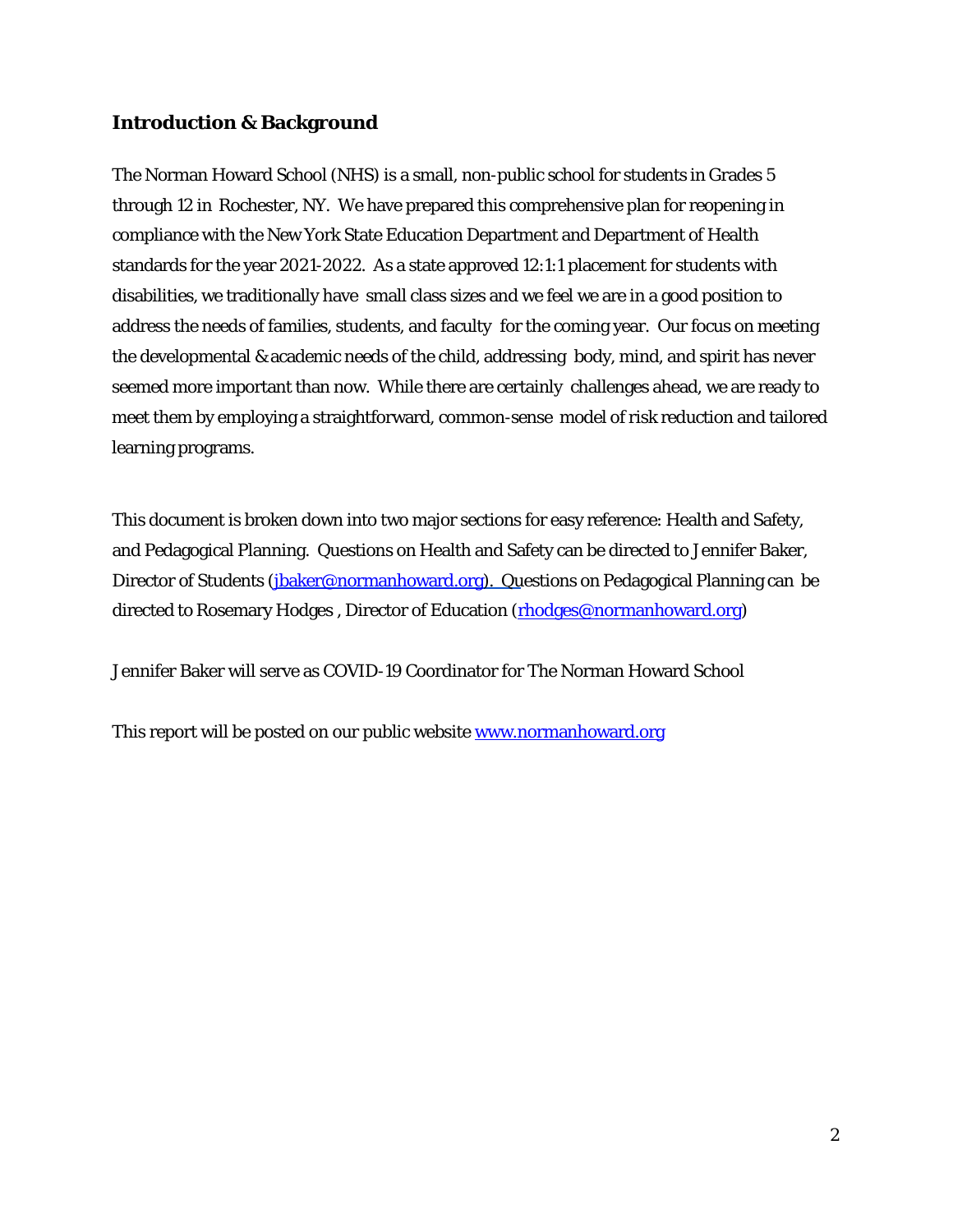#### **Introduction & Background**

The Norman Howard School (NHS) is a small, non-public school for students in Grades 5 through 12 in Rochester, NY. We have prepared this comprehensive plan for reopening in compliance with the New York State Education Department and Department of Health standards for the year 2021-2022. As a state approved 12:1:1 placement for students with disabilities, we traditionally have small class sizes and we feel we are in a good position to address the needs of families, students, and faculty for the coming year. Our focus on meeting the developmental & academic needs of the child, addressing body, mind, and spirit has never seemed more important than now. While there are certainly challenges ahead, we are ready to meet them by employing a straightforward, common-sense model of risk reduction and tailored learning programs.

This document is broken down into two major sections for easy reference: Health and Safety, and Pedagogical Planning. Questions on Health and Safety can be directed to Jennifer Baker, Director of Students [\(jbaker@normanhoward.org\)](mailto:jbaker@normanhoward.org). Questions on Pedagogical Planning can be directed to Rosemary Hodges, Director of Education [\(rhodges@normanhoward.org\)](mailto:rhodges@normanhoward.org)

Jennifer Baker will serve as COVID-19 Coordinator for The Norman Howard School

This report will be posted on our public website [www.normanhoward.org](http://www.normanhoward.org/)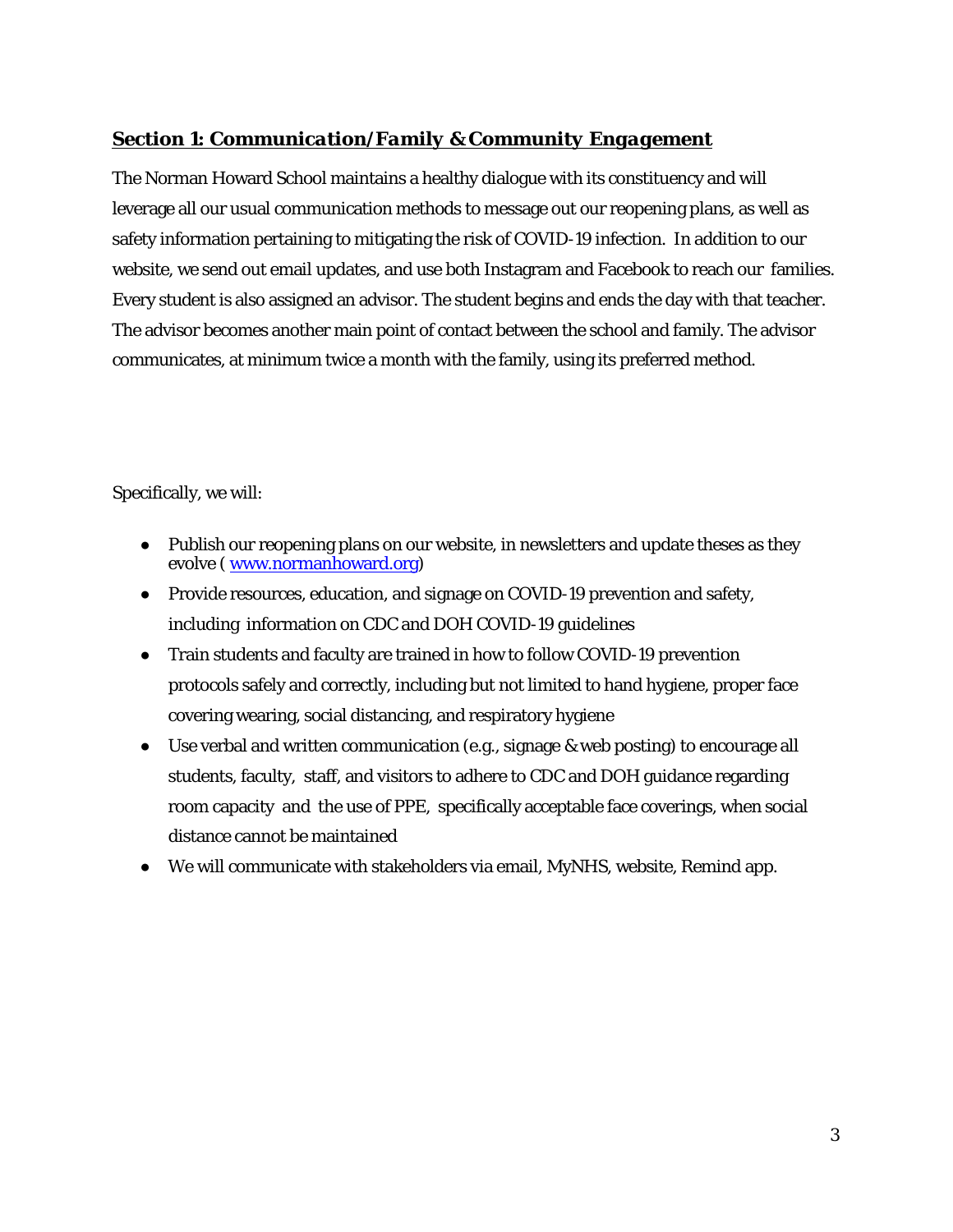# *Section 1: Communication/Family & Community Engagement*

The Norman Howard School maintains a healthy dialogue with its constituency and will leverage all our usual communication methods to message out our reopening plans, as well as safety information pertaining to mitigating the risk of COVID-19 infection. In addition to our website, we send out email updates, and use both Instagram and Facebook to reach our families. Every student is also assigned an advisor. The student begins and ends the day with that teacher. The advisor becomes another main point of contact between the school and family. The advisor communicates, at minimum twice a month with the family, using its preferred method.

Specifically, we will:

- Publish our reopening plans on our website, in newsletters and update theses as they evolve [\( www.normanhoward.org\)](http://www.normanhoward.org/)
- Provide resources, education, and signage on COVID-19 prevention and safety, including information on CDC and DOH COVID-19 guidelines
- Train students and faculty are trained in how to follow COVID-19 prevention protocols safely and correctly, including but not limited to hand hygiene, proper face covering wearing, social distancing, and respiratory hygiene
- Use verbal and written communication (e.g., signage & web posting) to encourage all students, faculty, staff, and visitors to adhere to CDC and DOH guidance regarding room capacity and the use of PPE, specifically acceptable face coverings, when social distance cannot be maintained
- We will communicate with stakeholders via email, MyNHS, website, Remind app.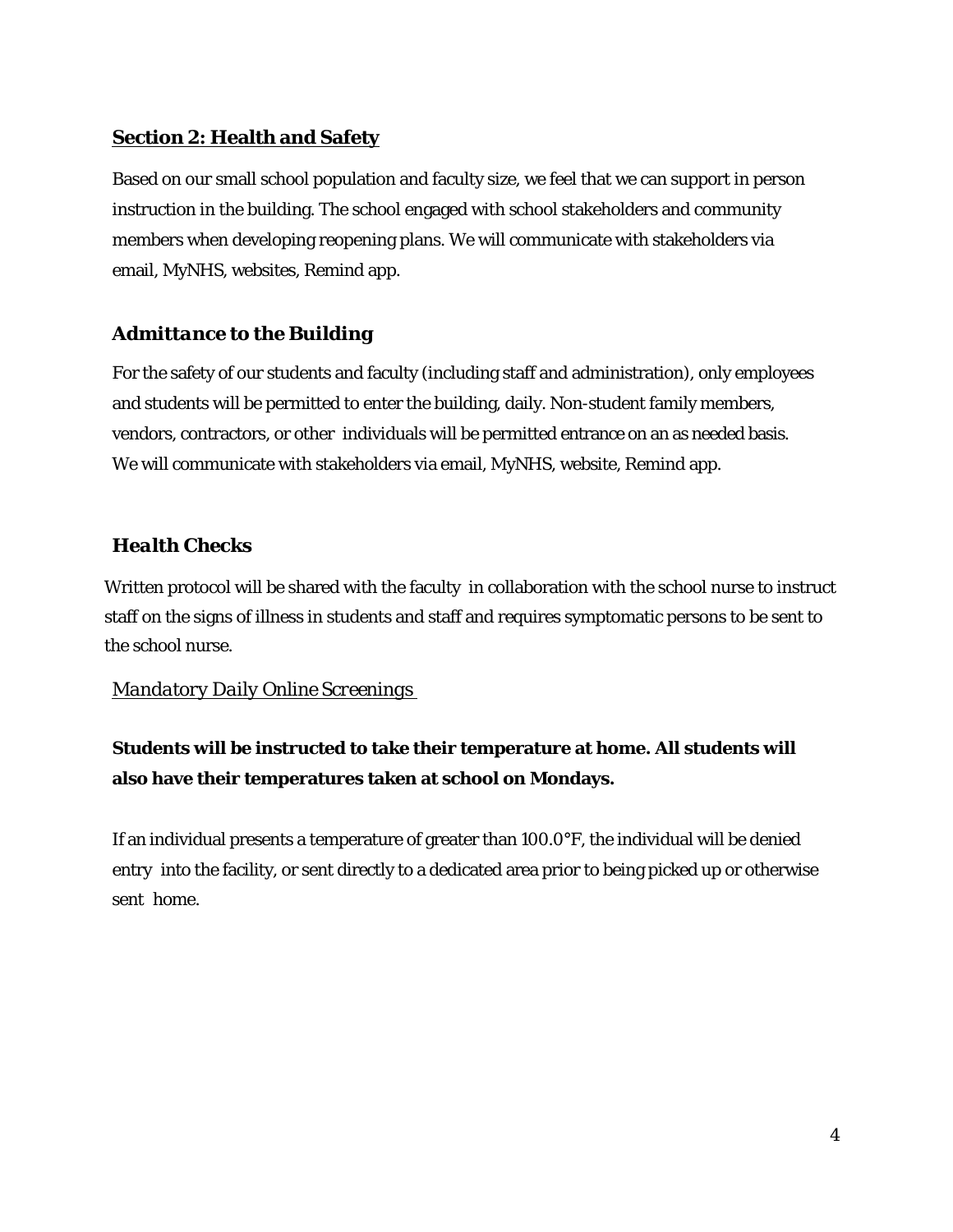# **Section 2: Health and Safety**

Based on our small school population and faculty size, we feel that we can support in person instruction in the building. The school engaged with school stakeholders and community members when developing reopening plans. We will communicate with stakeholders via email, MyNHS, websites, Remind app.

# *Admittance to the Building*

For the safety of our students and faculty (including staff and administration), only employees and students will be permitted to enter the building, daily. Non-student family members, vendors, contractors, or other individuals will be permitted entrance on an as needed basis. We will communicate with stakeholders via email, MyNHS, website, Remind app.

# *Health Checks*

Written protocol will be shared with the faculty in collaboration with the school nurse to instruct staff on the signs of illness in students and staff and requires symptomatic persons to be sent to the school nurse.

# *Mandatory Daily Online Screenings*

# **Students will be instructed to take their temperature at home. All students will also have their temperatures taken at school on Mondays.**

If an individual presents a temperature of greater than 100.0°F, the individual will be denied entry into the facility, or sent directly to a dedicated area prior to being picked up or otherwise sent home.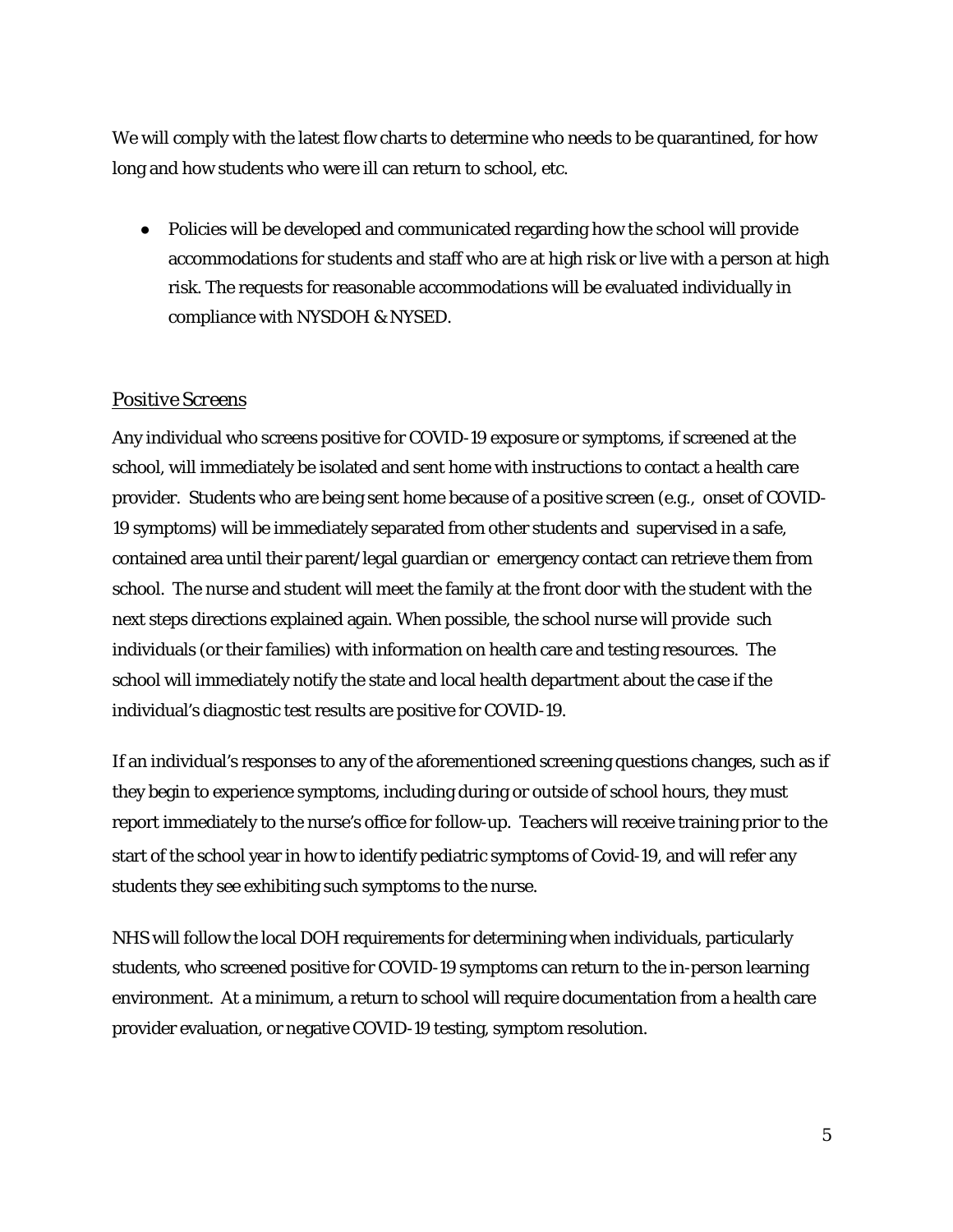We will comply with the latest flow charts to determine who needs to be quarantined, for how long and how students who were ill can return to school, etc.

● Policies will be developed and communicated regarding how the school will provide accommodations for students and staff who are at high risk or live with a person at high risk. The requests for reasonable accommodations will be evaluated individually in compliance with NYSDOH & NYSED.

# *Positive Screens*

Any individual who screens positive for COVID-19 exposure or symptoms, if screened at the school, will immediately be isolated and sent home with instructions to contact a health care provider. Students who are being sent home because of a positive screen (e.g., onset of COVID-19 symptoms) will be immediately separated from other students and supervised in a safe, contained area until their parent/legal guardian or emergency contact can retrieve them from school. The nurse and student will meet the family at the front door with the student with the next steps directions explained again. When possible, the school nurse will provide such individuals (or their families) with information on health care and testing resources. The school will immediately notify the state and local health department about the case if the individual's diagnostic test results are positive for COVID-19.

If an individual's responses to any of the aforementioned screening questions changes, such as if they begin to experience symptoms, including during or outside of school hours, they must report immediately to the nurse's office for follow-up. Teachers will receive training prior to the start of the school year in how to identify pediatric symptoms of Covid-19, and will refer any students they see exhibiting such symptoms to the nurse.

NHS will follow the local DOH requirements for determining when individuals, particularly students, who screened positive for COVID-19 symptoms can return to the in-person learning environment. At a minimum, a return to school will require documentation from a health care provider evaluation, or negative COVID-19 testing, symptom resolution.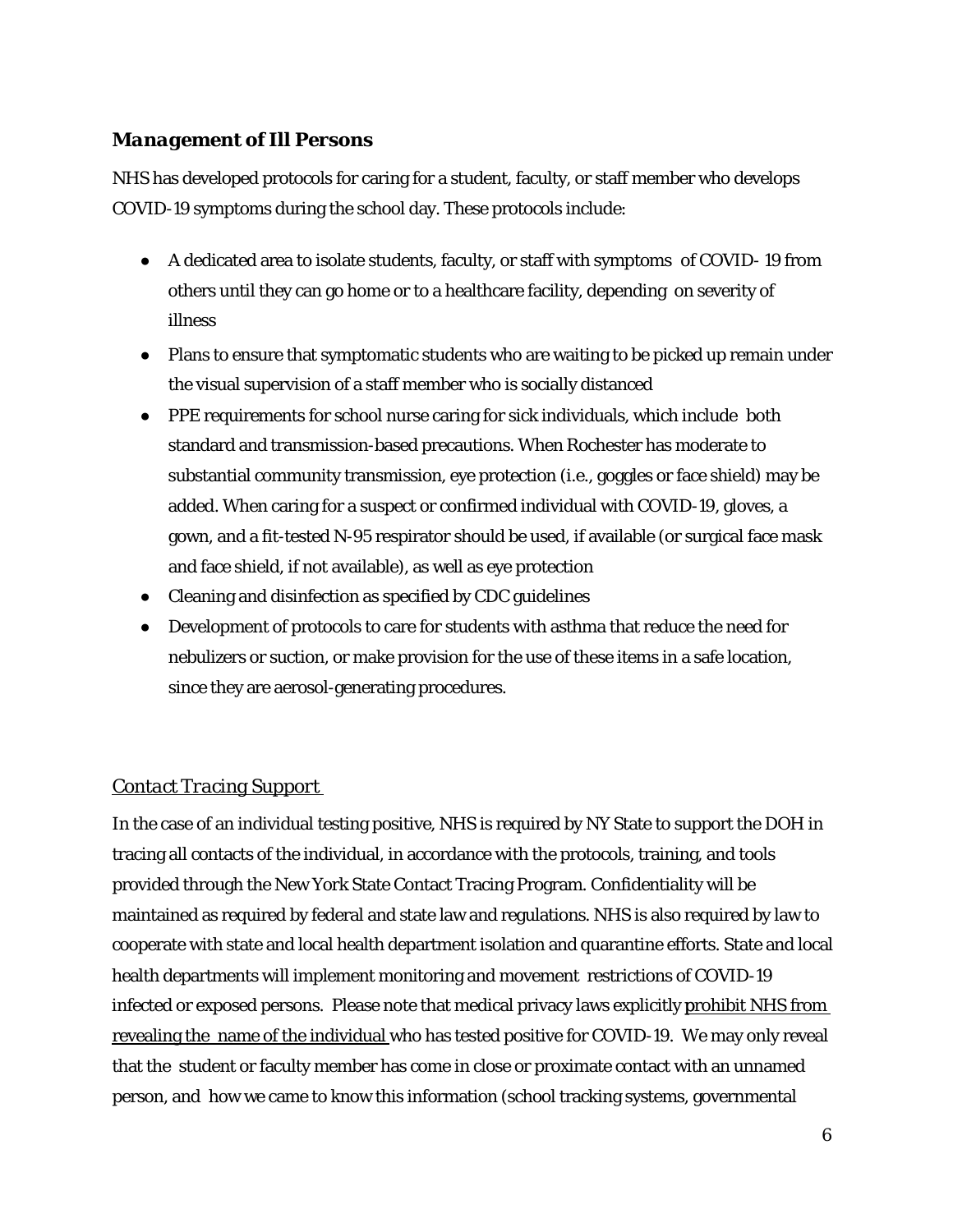# *Management of Ill Persons*

NHS has developed protocols for caring for a student, faculty, or staff member who develops COVID-19 symptoms during the school day. These protocols include:

- A dedicated area to isolate students, faculty, or staff with symptoms of COVID- 19 from others until they can go home or to a healthcare facility, depending on severity of illness
- Plans to ensure that symptomatic students who are waiting to be picked up remain under the visual supervision of a staff member who is socially distanced
- PPE requirements for school nurse caring for sick individuals, which include both standard and transmission-based precautions. When Rochester has moderate to substantial community transmission, eye protection (i.e., goggles or face shield) may be added. When caring for a suspect or confirmed individual with COVID-19, gloves, a gown, and a fit-tested N-95 respirator should be used, if available (or surgical face mask and face shield, if not available), as well as eye protection
- Cleaning and disinfection as specified by CDC guidelines
- Development of protocols to care for students with asthma that reduce the need for nebulizers or suction, or make provision for the use of these items in a safe location, since they are aerosol-generating procedures.

# *Contact Tracing Support*

In the case of an individual testing positive, NHS is required by NY State to support the DOH in tracing all contacts of the individual, in accordance with the protocols, training, and tools provided through the New York State Contact Tracing Program. Confidentiality will be maintained as required by federal and state law and regulations. NHS is also required by law to cooperate with state and local health department isolation and quarantine efforts. State and local health departments will implement monitoring and movement restrictions of COVID-19 infected or exposed persons. Please note that medical privacy laws explicitly prohibit NHS from revealing the name of the individual who has tested positive for COVID-19. We may only reveal that the student or faculty member has come in close or proximate contact with an unnamed person, and how we came to know this information (school tracking systems, governmental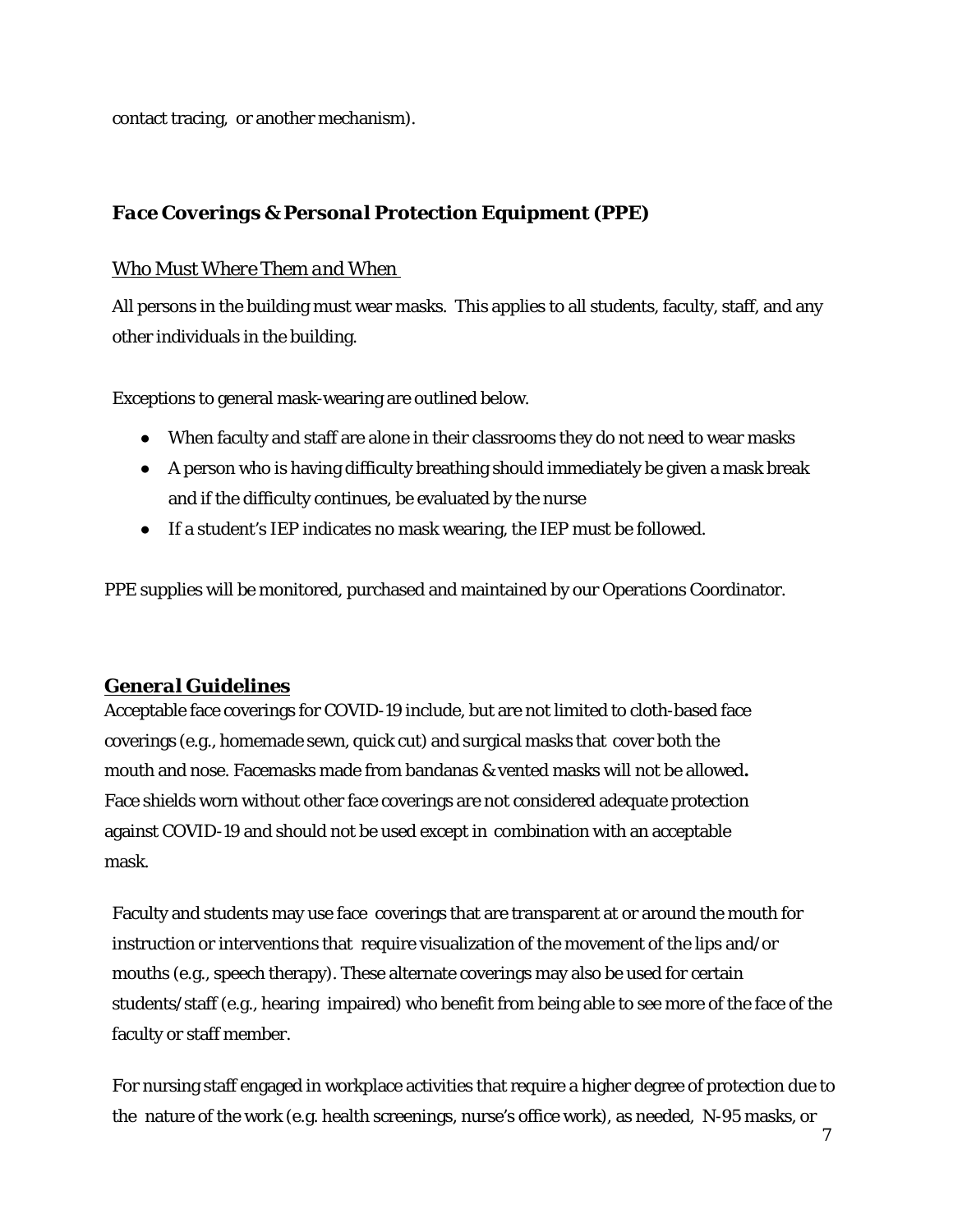contact tracing, or another mechanism).

# *Face Coverings & Personal Protection Equipment (PPE)*

#### *Who Must Where Them and When*

All persons in the building must wear masks. This applies to all students, faculty, staff, and any other individuals in the building.

Exceptions to general mask-wearing are outlined below.

- When faculty and staff are alone in their classrooms they do not need to wear masks
- A person who is having difficulty breathing should immediately be given a mask break and if the difficulty continues, be evaluated by the nurse
- If a student's IEP indicates no mask wearing, the IEP must be followed.

PPE supplies will be monitored, purchased and maintained by our Operations Coordinator.

# *General Guidelines*

Acceptable face coverings for COVID-19 include, but are not limited to cloth-based face coverings (e.g., homemade sewn, quick cut) and surgical masks that cover both the mouth and nose. Facemasks made from bandanas & vented masks will not be allowed**.**  Face shields worn without other face coverings are not considered adequate protection against COVID-19 and should not be used except in combination with an acceptable mask.

Faculty and students may use face coverings that are transparent at or around the mouth for instruction or interventions that require visualization of the movement of the lips and/or mouths (e.g., speech therapy). These alternate coverings may also be used for certain students/staff (e.g., hearing impaired) who benefit from being able to see more of the face of the faculty or staff member.

For nursing staff engaged in workplace activities that require a higher degree of protection due to the nature of the work (e.g. health screenings, nurse's office work), as needed, N-95 masks, or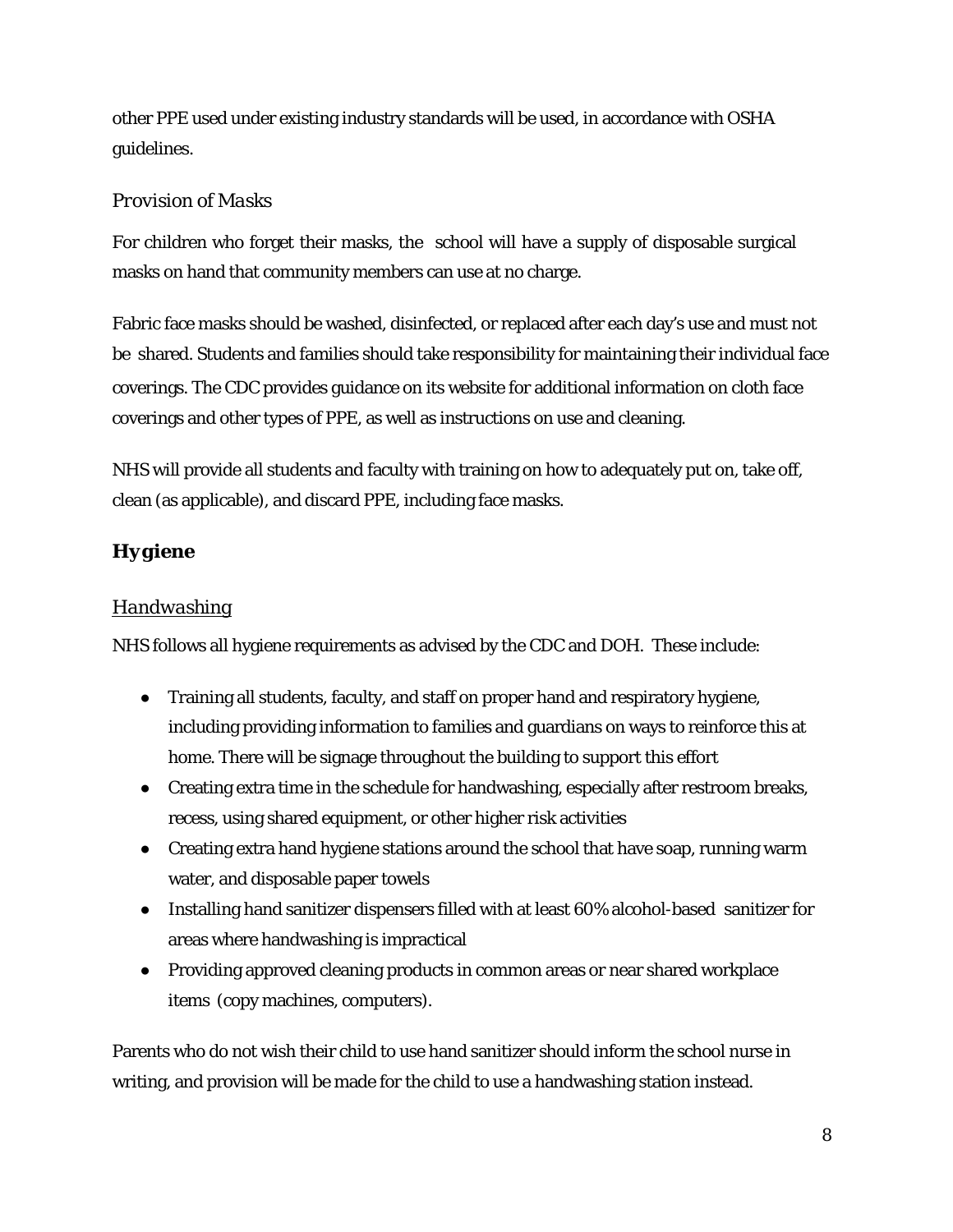other PPE used under existing industry standards will be used, in accordance with OSHA guidelines.

# *Provision of Masks*

For children who forget their masks, the school will have a supply of disposable surgical masks on hand that community members can use at no charge.

Fabric face masks should be washed, disinfected, or replaced after each day's use and must not be shared. Students and families should take responsibility for maintaining their individual face coverings. The CDC provides guidance on its website for additional information on cloth face coverings and other types of PPE, as well as instructions on use and cleaning.

NHS will provide all students and faculty with training on how to adequately put on, take off, clean (as applicable), and discard PPE, including face masks.

# *Hygiene*

# *Handwashing*

NHS follows all hygiene requirements as advised by the CDC and DOH. These include:

- Training all students, faculty, and staff on proper hand and respiratory hygiene, including providing information to families and guardians on ways to reinforce this at home. There will be signage throughout the building to support this effort
- Creating extra time in the schedule for handwashing, especially after restroom breaks, recess, using shared equipment, or other higher risk activities
- Creating extra hand hygiene stations around the school that have soap, running warm water, and disposable paper towels
- Installing hand sanitizer dispensers filled with at least 60% alcohol-based sanitizer for areas where handwashing is impractical
- Providing approved cleaning products in common areas or near shared workplace items (copy machines, computers).

Parents who do not wish their child to use hand sanitizer should inform the school nurse in writing, and provision will be made for the child to use a handwashing station instead.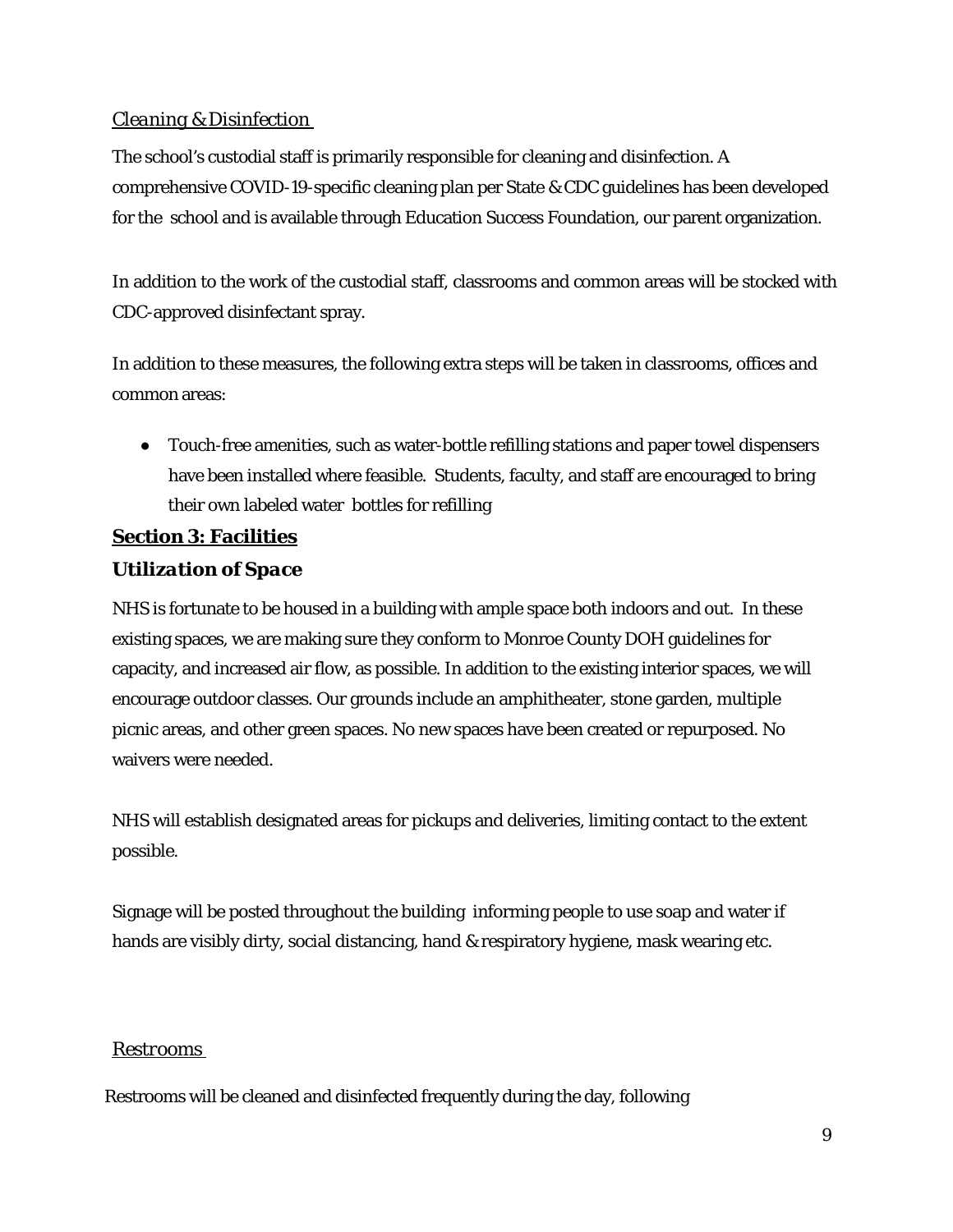# *Cleaning & Disinfection*

The school's custodial staff is primarily responsible for cleaning and disinfection. A comprehensive COVID-19-specific cleaning plan per State & CDC guidelines has been developed for the school and is available through Education Success Foundation, our parent organization.

In addition to the work of the custodial staff, classrooms and common areas will be stocked with CDC-approved disinfectant spray.

In addition to these measures, the following extra steps will be taken in classrooms, offices and common areas:

● Touch-free amenities, such as water-bottle refilling stations and paper towel dispensers have been installed where feasible. Students, faculty, and staff are encouraged to bring their own labeled water bottles for refilling

# **Section 3: Facilities**

# *Utilization of Space*

NHS is fortunate to be housed in a building with ample space both indoors and out. In these existing spaces, we are making sure they conform to Monroe County DOH guidelines for capacity, and increased air flow, as possible. In addition to the existing interior spaces, we will encourage outdoor classes. Our grounds include an amphitheater, stone garden, multiple picnic areas, and other green spaces. No new spaces have been created or repurposed. No waivers were needed.

NHS will establish designated areas for pickups and deliveries, limiting contact to the extent possible.

Signage will be posted throughout the building informing people to use soap and water if hands are visibly dirty, social distancing, hand & respiratory hygiene, mask wearing etc.

# *Restrooms*

Restrooms will be cleaned and disinfected frequently during the day, following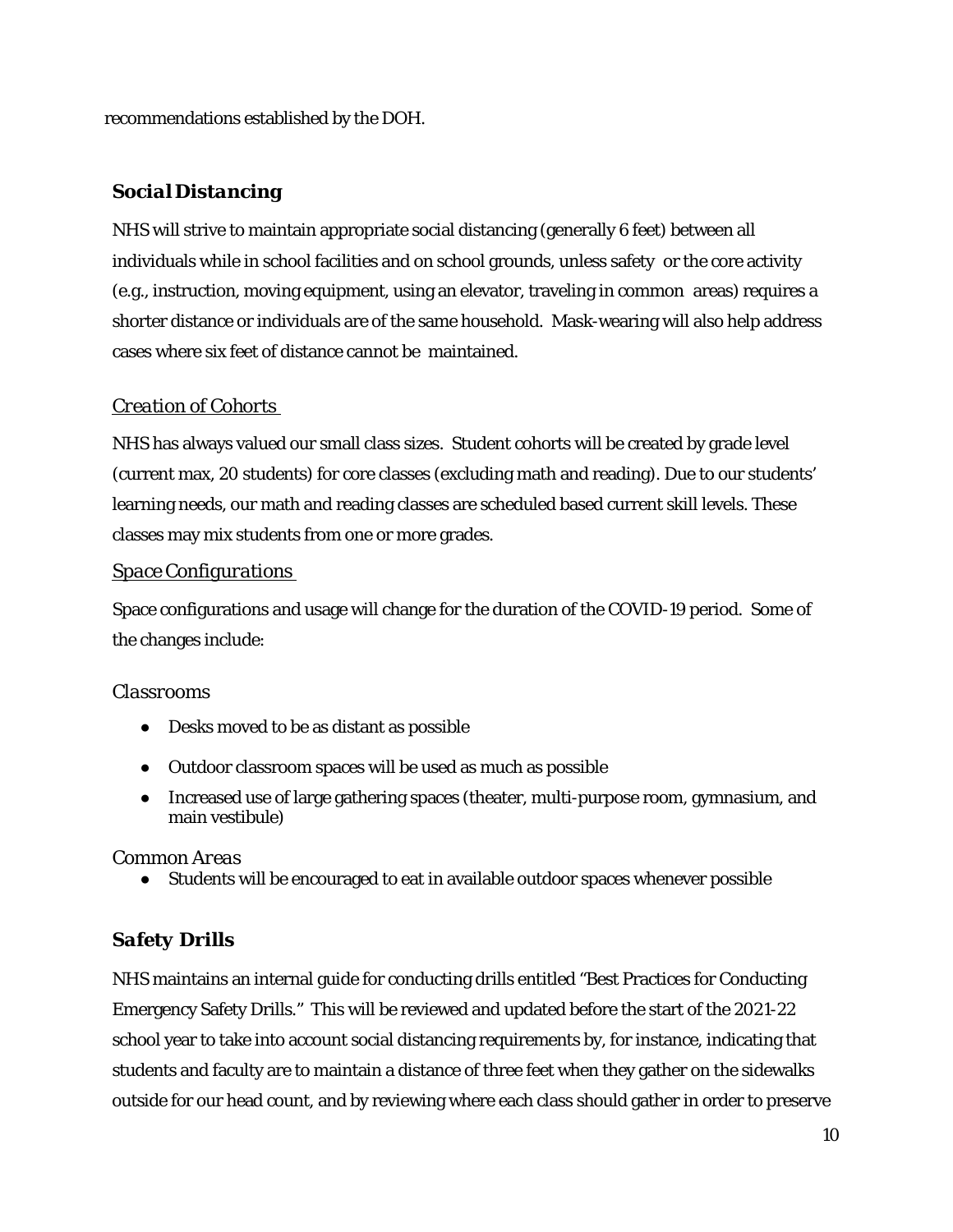recommendations established by the DOH.

# *Social Distancing*

NHS will strive to maintain appropriate social distancing (generally 6 feet) between all individuals while in school facilities and on school grounds, unless safety or the core activity (e.g., instruction, moving equipment, using an elevator, traveling in common areas) requires a shorter distance or individuals are of the same household. Mask-wearing will also help address cases where six feet of distance cannot be maintained.

# *Creation of Cohorts*

NHS has always valued our small class sizes. Student cohorts will be created by grade level (current max, 20 students) for core classes (excluding math and reading). Due to our students' learning needs, our math and reading classes are scheduled based current skill levels. These classes may mix students from one or more grades.

#### *Space Configurations*

Space configurations and usage will change for the duration of the COVID-19 period. Some of the changes include:

#### *Classrooms*

- Desks moved to be as distant as possible
- Outdoor classroom spaces will be used as much as possible
- Increased use of large gathering spaces (theater, multi-purpose room, gymnasium, and main vestibule)

#### *Common Areas*

● Students will be encouraged to eat in available outdoor spaces whenever possible

# *Safety Drills*

NHS maintains an internal guide for conducting drills entitled "Best Practices for Conducting Emergency Safety Drills." This will be reviewed and updated before the start of the 2021-22 school year to take into account social distancing requirements by, for instance, indicating that students and faculty are to maintain a distance of three feet when they gather on the sidewalks outside for our head count, and by reviewing where each class should gather in order to preserve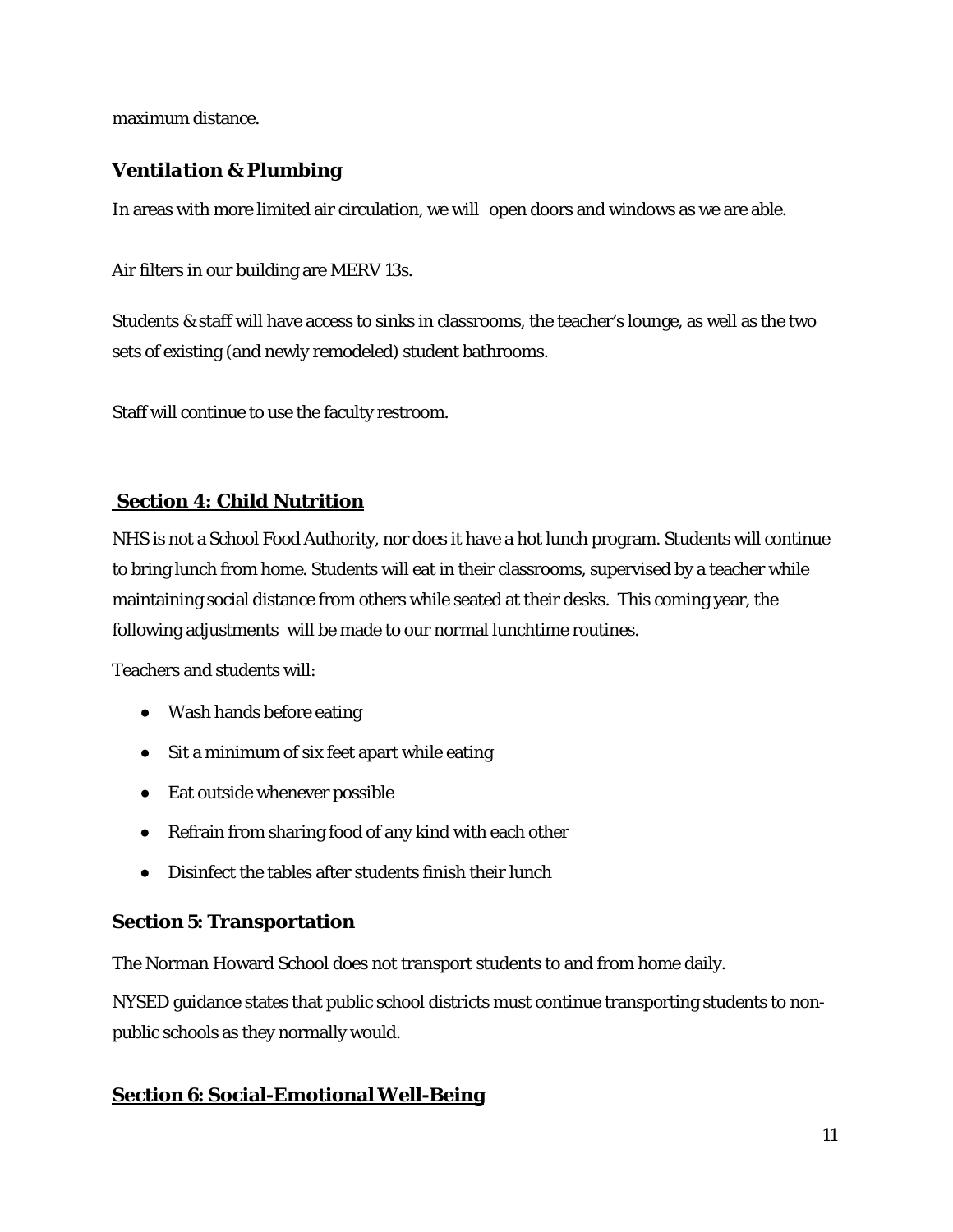maximum distance.

# *Ventilation & Plumbing*

In areas with more limited air circulation, we will open doors and windows as we are able.

Air filters in our building are MERV 13s.

Students & staff will have access to sinks in classrooms, the teacher's lounge, as well as the two sets of existing (and newly remodeled) student bathrooms.

Staff will continue to use the faculty restroom.

# **Section 4: Child Nutrition**

NHS is not a School Food Authority, nor does it have a hot lunch program. Students will continue to bring lunch from home. Students will eat in their classrooms, supervised by a teacher while maintaining social distance from others while seated at their desks. This coming year, the following adjustments will be made to our normal lunchtime routines.

Teachers and students will:

- Wash hands before eating
- Sit a minimum of six feet apart while eating
- Eat outside whenever possible
- Refrain from sharing food of any kind with each other
- Disinfect the tables after students finish their lunch

# **Section 5: Transportation**

The Norman Howard School does not transport students to and from home daily.

NYSED guidance states that public school districts must continue transporting students to nonpublic schools as they normally would.

# **Section 6: Social-EmotionalWell-Being**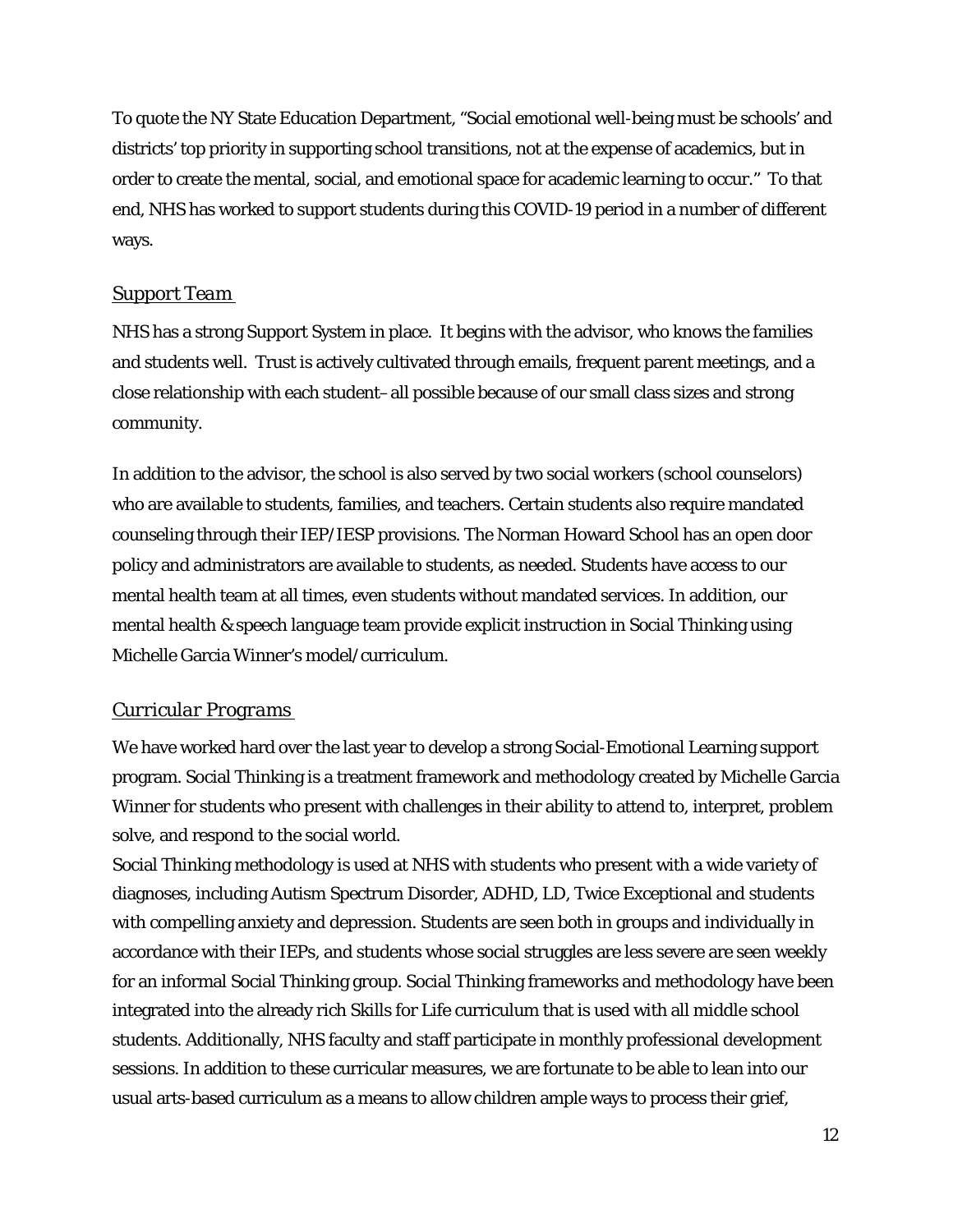To quote the NY State Education Department, "Social emotional well-being must be schools' and districts' top priority in supporting school transitions, not at the expense of academics, but in order to create the mental, social, and emotional space for academic learning to occur." To that end, NHS has worked to support students during this COVID-19 period in a number of different ways.

#### *Support Team*

NHS has a strong Support System in place. It begins with the advisor, who knows the families and students well. Trust is actively cultivated through emails, frequent parent meetings, and a close relationship with each student–all possible because of our small class sizes and strong community.

In addition to the advisor, the school is also served by two social workers (school counselors) who are available to students, families, and teachers. Certain students also require mandated counseling through their IEP/IESP provisions. The Norman Howard School has an open door policy and administrators are available to students, as needed. Students have access to our mental health team at all times, even students without mandated services. In addition, our mental health & speech language team provide explicit instruction in Social Thinking using Michelle Garcia Winner's model/curriculum.

# *Curricular Programs*

We have worked hard over the last year to develop a strong Social-Emotional Learning support program. Social Thinking is a treatment framework and methodology created by Michelle Garcia Winner for students who present with challenges in their ability to attend to, interpret, problem solve, and respond to the social world.

Social Thinking methodology is used at NHS with students who present with a wide variety of diagnoses, including Autism Spectrum Disorder, ADHD, LD, Twice Exceptional and students with compelling anxiety and depression. Students are seen both in groups and individually in accordance with their IEPs, and students whose social struggles are less severe are seen weekly for an informal Social Thinking group. Social Thinking frameworks and methodology have been integrated into the already rich Skills for Life curriculum that is used with all middle school students. Additionally, NHS faculty and staff participate in monthly professional development sessions. In addition to these curricular measures, we are fortunate to be able to lean into our usual arts-based curriculum as a means to allow children ample ways to process their grief,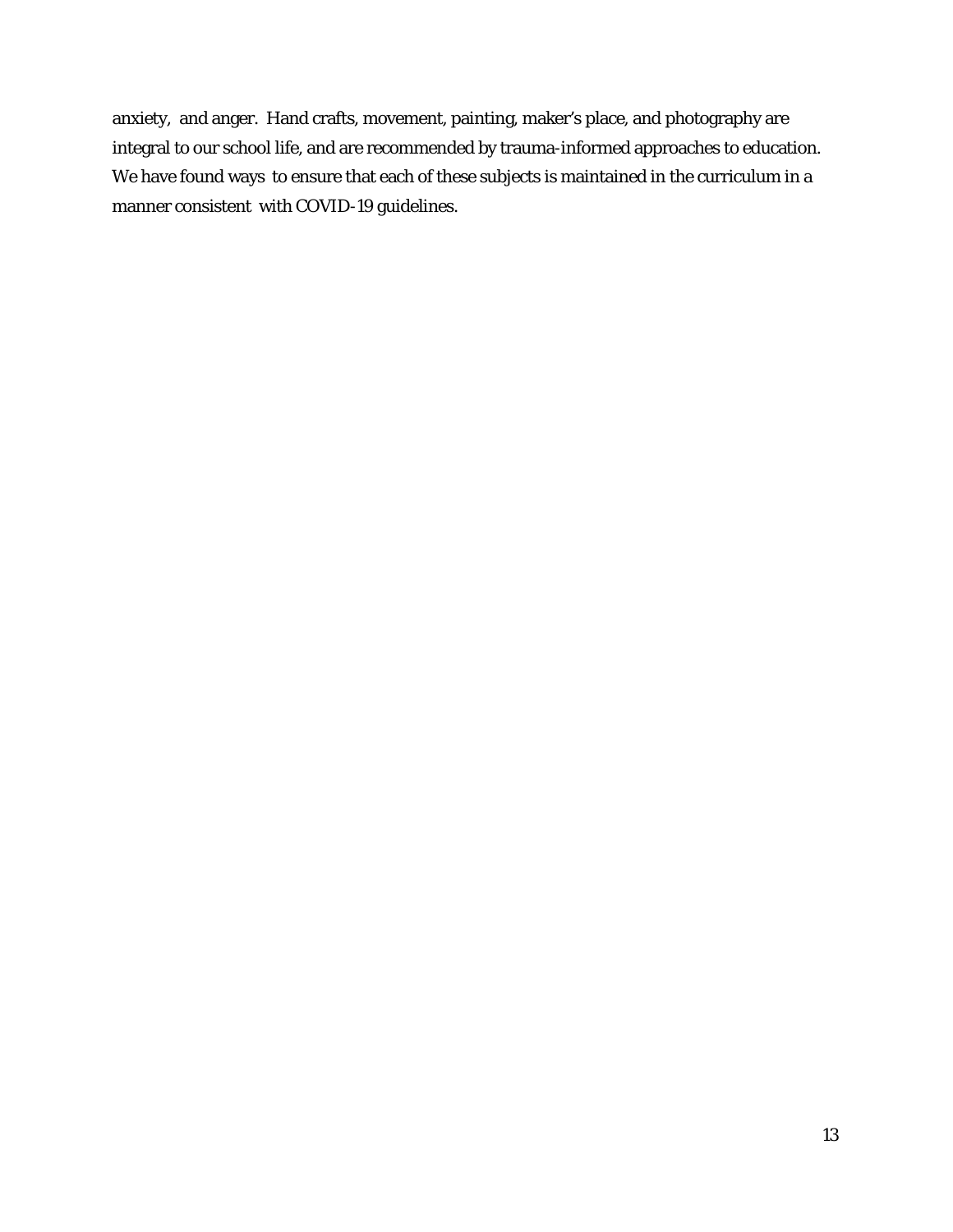anxiety, and anger. Hand crafts, movement, painting, maker's place, and photography are integral to our school life, and are recommended by trauma-informed approaches to education. We have found ways to ensure that each of these subjects is maintained in the curriculum in a manner consistent with COVID-19 guidelines.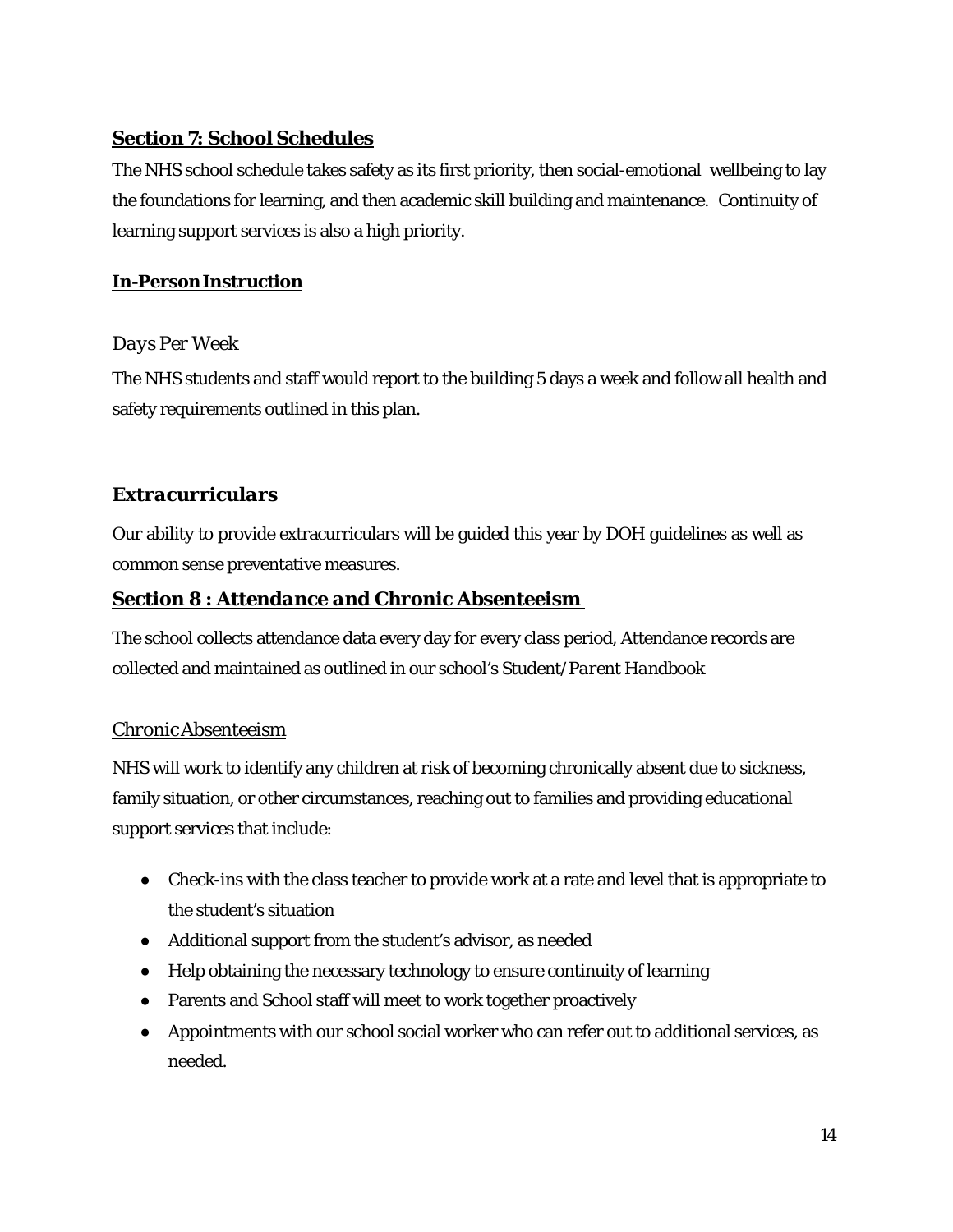# **Section 7: School Schedules**

The NHS school schedule takes safety as its first priority, then social-emotional wellbeing to lay the foundations for learning, and then academic skill building and maintenance. Continuity of learning support services is also a high priority.

# **In-PersonInstruction**

# *Days Per Week*

The NHS students and staff would report to the building 5 days a week and follow all health and safety requirements outlined in this plan.

# *Extracurriculars*

Our ability to provide extracurriculars will be guided this year by DOH guidelines as well as common sense preventative measures.

# *Section 8 : Attendance and Chronic Absenteeism*

The school collects attendance data every day for every class period, Attendance records are collected and maintained as outlined in our school's *Student/Parent Handbook*

# *ChronicAbsenteeism*

NHS will work to identify any children at risk of becoming chronically absent due to sickness, family situation, or other circumstances, reaching out to families and providing educational support services that include:

- Check-ins with the class teacher to provide work at a rate and level that is appropriate to the student's situation
- Additional support from the student's advisor, as needed
- Help obtaining the necessary technology to ensure continuity of learning
- Parents and School staff will meet to work together proactively
- Appointments with our school social worker who can refer out to additional services, as needed.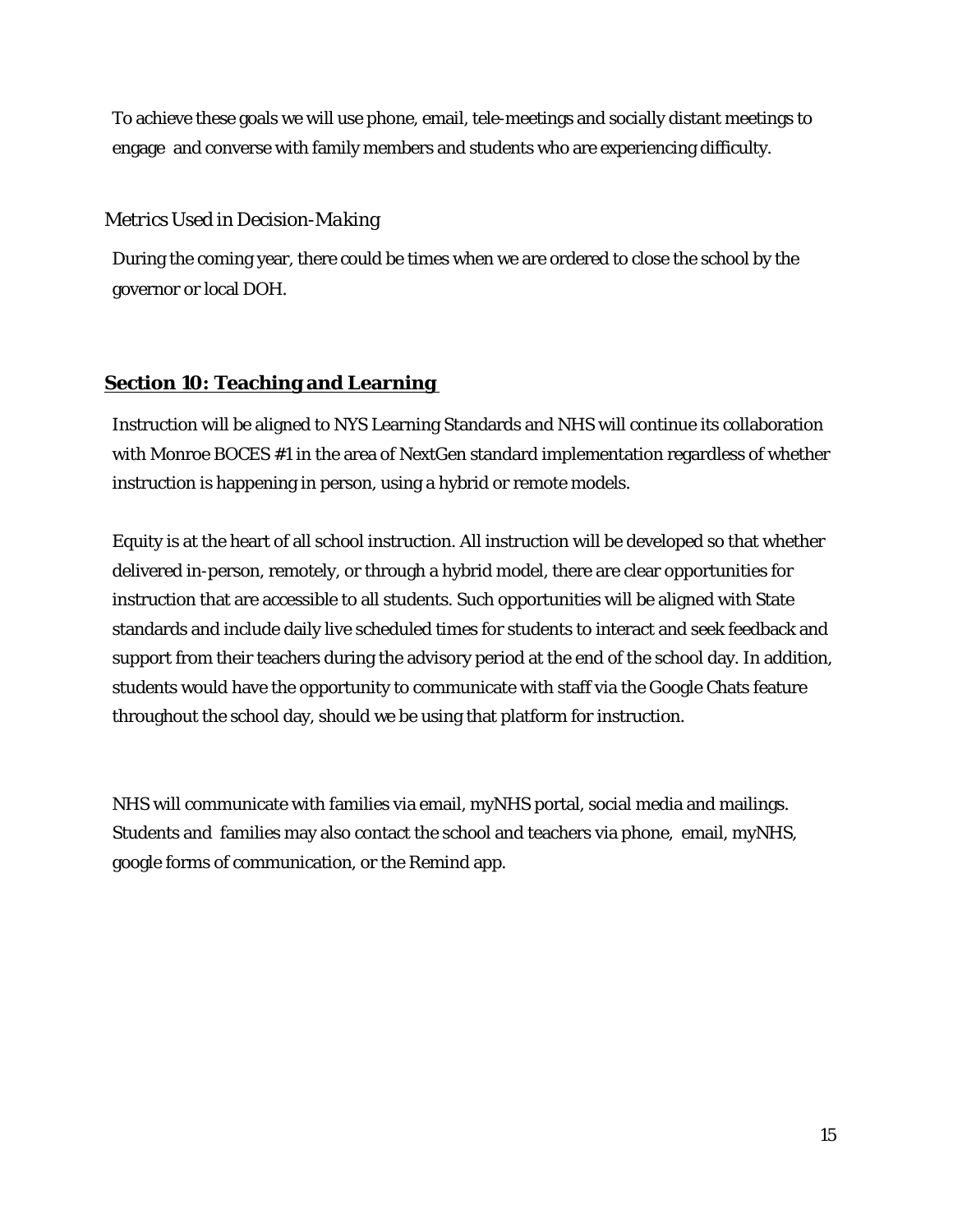To achieve these goals we will use phone, email, tele-meetings and socially distant meetings to engage and converse with family members and students who are experiencing difficulty.

# *Metrics Used in Decision-Making*

During the coming year, there could be times when we are ordered to close the school by the governor or local DOH.

# **Section 10: Teaching and Learning**

Instruction will be aligned to NYS Learning Standards and NHS will continue its collaboration with Monroe BOCES #1 in the area of NextGen standard implementation regardless of whether instruction is happening in person, using a hybrid or remote models.

Equity is at the heart of all school instruction. All instruction will be developed so that whether delivered in-person, remotely, or through a hybrid model, there are clear opportunities for instruction that are accessible to all students. Such opportunities will be aligned with State standards and include daily live scheduled times for students to interact and seek feedback and support from their teachers during the advisory period at the end of the school day. In addition, students would have the opportunity to communicate with staff via the Google Chats feature throughout the school day, should we be using that platform for instruction.

NHS will communicate with families via email, myNHS portal, social media and mailings. Students and families may also contact the school and teachers via phone, email, myNHS, google forms of communication, or the Remind app.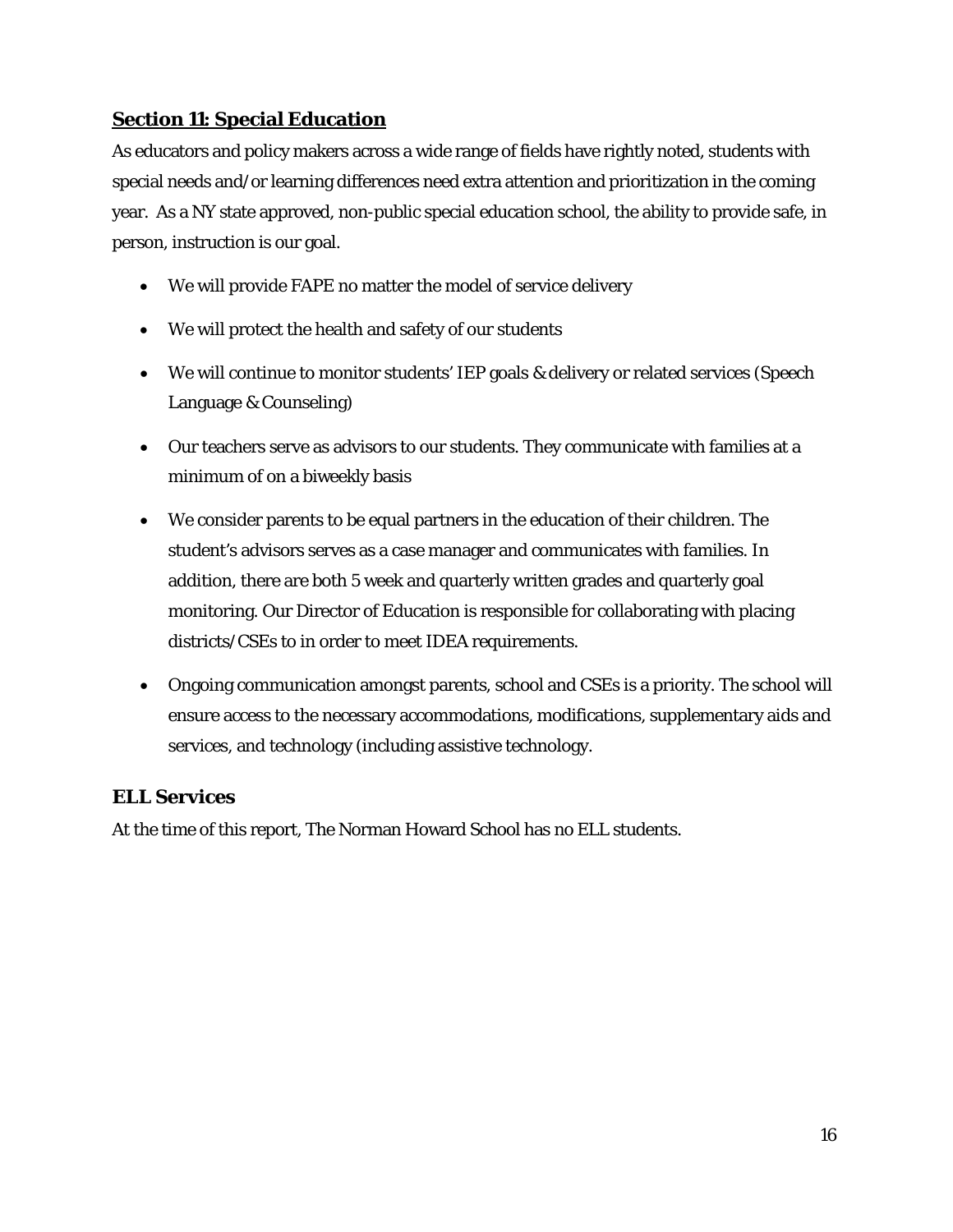# **Section 11: Special Education**

As educators and policy makers across a wide range of fields have rightly noted, students with special needs and/or learning differences need extra attention and prioritization in the coming year. As a NY state approved, non-public special education school, the ability to provide safe, in person, instruction is our goal.

- We will provide FAPE no matter the model of service delivery
- We will protect the health and safety of our students
- We will continue to monitor students' IEP goals & delivery or related services (Speech Language & Counseling)
- Our teachers serve as advisors to our students. They communicate with families at a minimum of on a biweekly basis
- We consider parents to be equal partners in the education of their children. The student's advisors serves as a case manager and communicates with families. In addition, there are both 5 week and quarterly written grades and quarterly goal monitoring. Our Director of Education is responsible for collaborating with placing districts/CSEs to in order to meet IDEA requirements.
- Ongoing communication amongst parents, school and CSEs is a priority. The school will ensure access to the necessary accommodations, modifications, supplementary aids and services, and technology (including assistive technology.

# **ELL Services**

At the time of this report, The Norman Howard School has no ELL students.